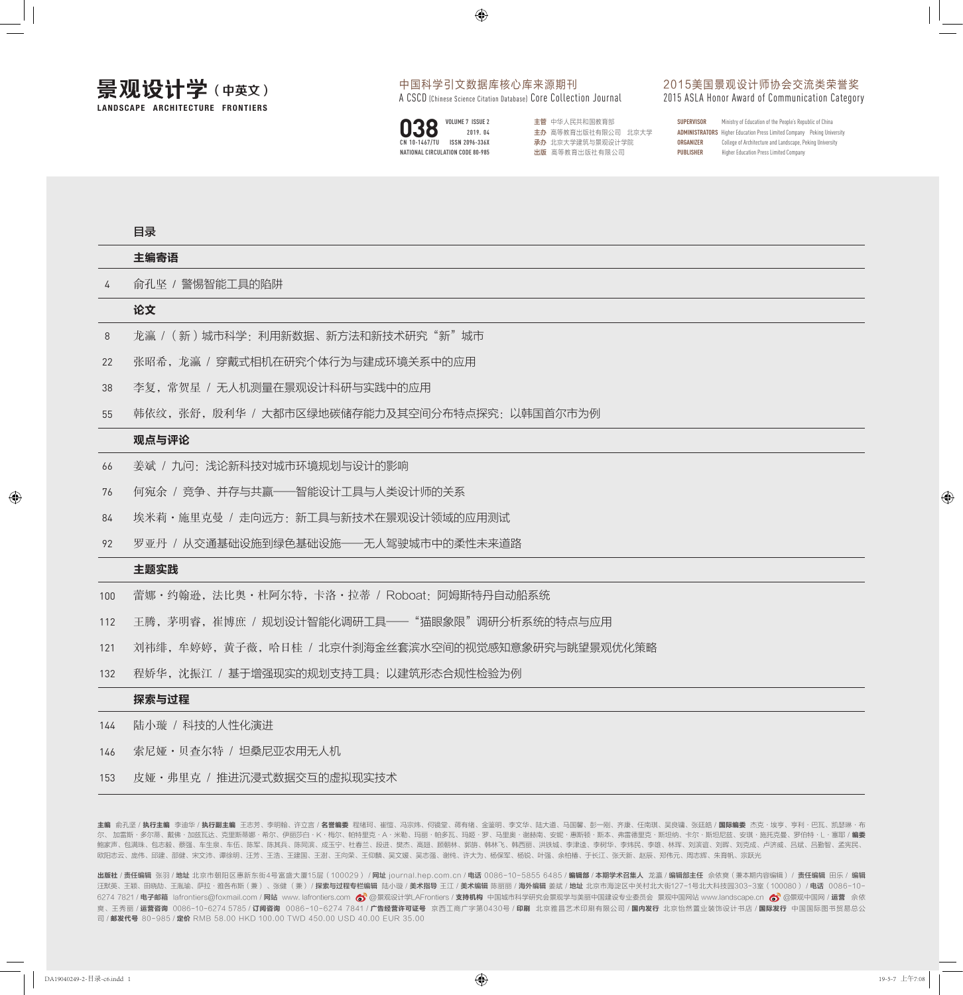## 中国科学引文数据库核心库来源期刊

A CSCD (Chinese Science Citation Database) Core Collection Journal



2015美国景观设计师协会交流类荣誉奖 2015 ASLA Honor Award of Communication Category

|               | VOLUME 7 ISSUE 2                 | 主管 中华人民共和国教育部       | <b>SUPERVISOR</b> | Ministry of Education of the People's Republic of China                        |
|---------------|----------------------------------|---------------------|-------------------|--------------------------------------------------------------------------------|
| 038           | 2019.04                          | 主办 高等教育出版社有限公司 北京大学 |                   | <b>ADMINISTRATORS</b> Higher Education Press Limited Company Peking University |
| CN 10-1467/TU | ISSN 2096-336X                   | 承办 北京大学建筑与景观设计学院    | ORGANIZER         | College of Architecture and Landscape, Peking University                       |
|               | NATIONAL CIRCULATION CODE 80-985 | 出版 高等教育出版社有限公司      | <b>PUBLISHER</b>  | Higher Education Press Limited Company                                         |

目录

|                | 主编寄语                                             |  |  |  |  |  |
|----------------|--------------------------------------------------|--|--|--|--|--|
| $\overline{4}$ | 俞孔坚 / 警惕智能工具的陷阱                                  |  |  |  |  |  |
|                | 论文                                               |  |  |  |  |  |
| 8              | 龙瀛 / (新) 城市科学: 利用新数据、新方法和新技术研究"新"城市              |  |  |  |  |  |
| 22             | 张昭希,龙瀛 / 穿戴式相机在研究个体行为与建成环境关系中的应用                 |  |  |  |  |  |
| 38             | 李复, 常贺星 / 无人机测量在景观设计科研与实践中的应用                    |  |  |  |  |  |
| 55             | 韩依纹,张舒,殷利华 / 大都市区绿地碳储存能力及其空间分布特点探究: 以韩国首尔市为例     |  |  |  |  |  |
|                | 观点与评论                                            |  |  |  |  |  |
| 66             | 姜斌 / 九问: 浅论新科技对城市环境规划与设计的影响                      |  |  |  |  |  |
| 76             | 何宛余 / 竞争、并存与共赢——智能设计工具与人类设计师的关系                  |  |  |  |  |  |
| 84             | 埃米莉·施里克曼 / 走向远方: 新工具与新技术在景观设计领域的应用测试             |  |  |  |  |  |
| 92             | 罗亚丹 / 从交通基础设施到绿色基础设施——无人驾驶城市中的柔性未来道路             |  |  |  |  |  |
|                | 主题实践                                             |  |  |  |  |  |
| 100            | 蕾娜・约翰逊,法比奥・杜阿尔特,卡洛・拉蒂 / Roboat: 阿姆斯特丹自动船系统       |  |  |  |  |  |
| 112            | 王腾,茅明睿,崔博庶 / 规划设计智能化调研工具——"猫眼象限"调研分析系统的特点与应用     |  |  |  |  |  |
| 121            | 刘祎绯,牟婷婷,黄子薇,哈日桂 / 北京什刹海金丝套滨水空间的视觉感知意象研究与眺望景观优化策略 |  |  |  |  |  |
| 132            | 程娇华,沈振江 / 基于增强现实的规划支持工具: 以建筑形态合规性检验为例            |  |  |  |  |  |
|                | 探索与过程                                            |  |  |  |  |  |
| 144            | 陆小璇 / 科技的人性化演进                                   |  |  |  |  |  |
| 146            | 索尼娅·贝查尔特 / 坦桑尼亚农用无人机                             |  |  |  |  |  |

皮娅·弗里克 / 推进沉浸式数据交互的虚拟现实技术 153

主编 俞孔坚 / **执行主编** 李迪华 / **执行副主编** 王志芳、李明翰、许立言 / **名誉编委** 程绪珂、崔愷、冯宗炜、何镜堂、蒋有绪、金鉴明、李文华、陆大道、马国馨、彭一刚、齐康、任南琪、吴良镛、张廷皓 / **国际编委** 杰克·埃亨、亨利·巴瓦、凯瑟琳·布 尔、 加雷斯·多尔蒂、戴佛·加兹瓦达、克里斯蒂娜·希尔、伊丽莎白·K·梅尔、帕特里克·A·米勒、玛丽·帕多瓦、玛姬·罗、马里奥·谢赫南、安妮·惠斯顿·斯本、弗雷德里克·斯坦纳、卡尔·斯坦尼兹、安琪·施托克曼、罗伯特·L·塞耶 / **编委** 鲍家声、包满珠、包志毅、蔡强、车生泉、车伍、陈军、陈其兵、陈同滨、成玉宁、杜春兰、段进、樊杰、高翅、顾朝林、郭旃、韩林飞、韩西丽、洪铁城、李津逵、李树华、李炜民、李雄、林珲、刘滨谊、刘晖、刘克成、卢济威、吕斌、吕勤智、孟宪民、 欧阳志云、庞伟、邱建、邵健、宋文沛、谭徐明、汪芳、王浩、王建国、王澍、王向荣、王仰麟、吴文媛、吴志强、谢纯、许大为、杨保军、杨锐、叶强、余柏椿、于长江、张天新、赵辰、郑伟元、周志辉、朱育帆、宗跃光

出版社 / 责任编辑 张羽 / 地址 北京市朝阳区惠新东街4号富盛大厦15层(100029) / 网址 journal.hep.com.cn / 电话 0086-10-5855 6485 / 編輯稿 / 本期学术召集人 龙瀛 / 编辑部主任 佘依爽 (兼本期内容编辑) / 责任编辑 田乐 / 编辑 汪默英、王颖、田晓劼、王胤瑜、萨拉·雅各布斯(兼)、张健( 兼)/ **探索与过程专栏编辑** 陆小璇 / **美术指导** 王江 / **美术编辑** 陈丽丽 / **海外编辑** 姜斌 / **地址** 北京市海淀区中关村北大街127-1号北大科技园303-3室(100080)/ 电话 0086-10-6274 7821 / 电子邮箱 lafrontiers@foxmail.com / 网站 www. lafrontiers.com 6 离离最观设计学LAFrontiers / 支持机构 中国城市科学研究会景观学与美丽中国建设专业委员会 景观中国网站 www.landscape.cn 6 离界观中国网 / 运营 佘依 爽、王秀丽 / **运营咨询** 0086-10-6274 5785 / **订阅咨询** 0086-10-6274 7841 / **广告经营许可证号** 京西工商广字第0430号 / **印刷** 北京雅昌艺术印刷有限公司 / **国内发行** 北京怡然置业装饰设计书店 / **国际发行** 中国国际图书贸易总公 司 / 邮发代号 80-985 / 定价 RMB 58.00 HKD 100.00 TWD 450.00 USD 40.00 EUR 35.00